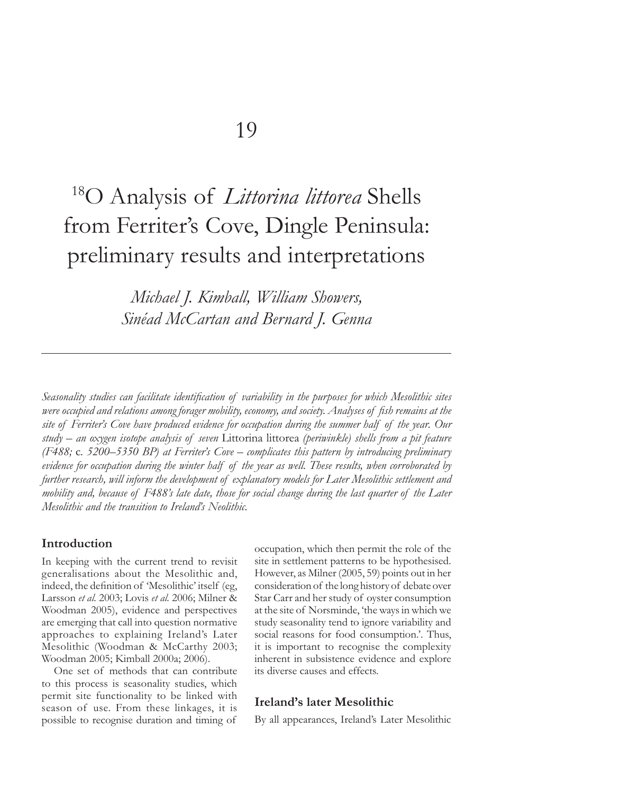# 18O Analysis of *Littorina littorea* Shells from Ferriter's Cove, Dingle Peninsula: preliminary results and interpretations

*Michael J. Kimball, William Showers, Sinéad McCartan and Bernard J. Genna*

Seasonality studies can facilitate identification of variability in the purposes for which Mesolithic sites *were occupied and relations among forager mobility, economy, and society. Analyses of fish remains at the site of Ferriter's Cove have produced evidence for occupation during the summer half of the year. Our study – an oxygen isotope analysis of seven* Littorina littorea *(periwinkle) shells from a pit feature (F488;* c*. 5200–5350 BP) at Ferriter's Cove – complicates this pattern by introducing preliminary evidence for occupation during the winter half of the year as well. These results, when corroborated by further research, will inform the development of explanatory models for Later Mesolithic settlement and mobility and, because of F488's late date, those for social change during the last quarter of the Later Mesolithic and the transition to Ireland's Neolithic.*

# **Introduction**

In keeping with the current trend to revisit generalisations about the Mesolithic and, indeed, the definition of 'Mesolithic' itself (eg, Larsson *et al.* 2003; Lovis *et al.* 2006; Milner & Woodman 2005), evidence and perspectives are emerging that call into question normative approaches to explaining Ireland's Later Mesolithic (Woodman & McCarthy 2003; Woodman 2005; Kimball 2000a; 2006).

One set of methods that can contribute to this process is seasonality studies, which permit site functionality to be linked with season of use. From these linkages, it is possible to recognise duration and timing of

occupation, which then permit the role of the site in settlement patterns to be hypothesised. However, as Milner (2005, 59) points out in her consideration of the long history of debate over Star Carr and her study of oyster consumption at the site of Norsminde, 'the ways in which we study seasonality tend to ignore variability and social reasons for food consumption.'. Thus, it is important to recognise the complexity inherent in subsistence evidence and explore its diverse causes and effects.

# **Ireland's later Mesolithic**

By all appearances, Ireland's Later Mesolithic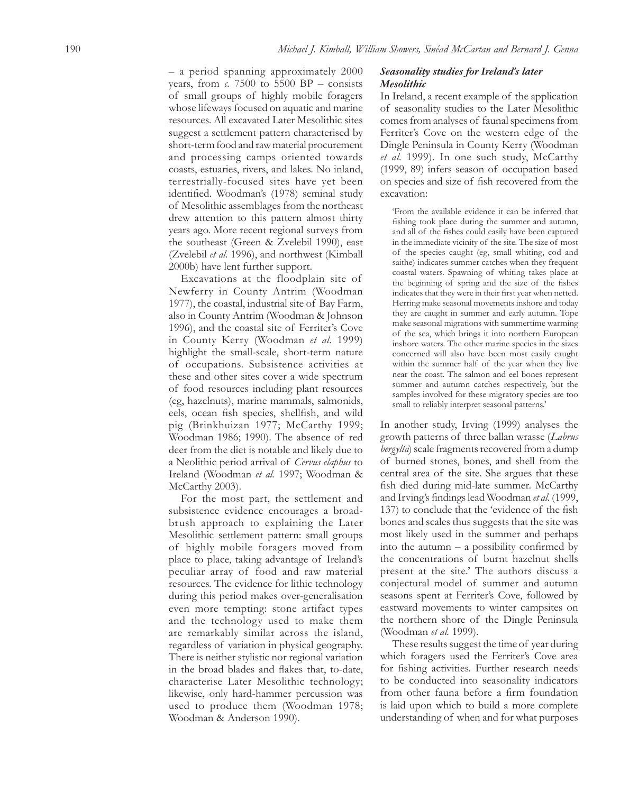– a period spanning approximately 2000 years, from  $c$ . 7500 to 5500 BP – consists of small groups of highly mobile foragers whose lifeways focused on aquatic and marine resources. All excavated Later Mesolithic sites suggest a settlement pattern characterised by short-term food and raw material procurement and processing camps oriented towards coasts, estuaries, rivers, and lakes. No inland, terrestrially-focused sites have yet been identified. Woodman's (1978) seminal study of Mesolithic assemblages from the northeast drew attention to this pattern almost thirty years ago. More recent regional surveys from the southeast (Green & Zvelebil 1990), east (Zvelebil *et al.* 1996), and northwest (Kimball 2000b) have lent further support.

Excavations at the floodplain site of Newferry in County Antrim (Woodman 1977), the coastal, industrial site of Bay Farm, also in County Antrim (Woodman & Johnson 1996), and the coastal site of Ferriter's Cove in County Kerry (Woodman *et al.* 1999) highlight the small-scale, short-term nature of occupations. Subsistence activities at these and other sites cover a wide spectrum of food resources including plant resources (eg, hazelnuts), marine mammals, salmonids, eels, ocean fish species, shellfish, and wild pig (Brinkhuizan 1977; McCarthy 1999; Woodman 1986; 1990). The absence of red deer from the diet is notable and likely due to a Neolithic period arrival of *Cervus elaphus* to Ireland (Woodman *et al.* 1997; Woodman & McCarthy 2003).

For the most part, the settlement and subsistence evidence encourages a broadbrush approach to explaining the Later Mesolithic settlement pattern: small groups of highly mobile foragers moved from place to place, taking advantage of Ireland's peculiar array of food and raw material resources. The evidence for lithic technology during this period makes over-generalisation even more tempting: stone artifact types and the technology used to make them are remarkably similar across the island, regardless of variation in physical geography. There is neither stylistic nor regional variation in the broad blades and flakes that, to-date, characterise Later Mesolithic technology; likewise, only hard-hammer percussion was used to produce them (Woodman 1978; Woodman & Anderson 1990).

#### *Seasonality studies for Ireland's later Mesolithic*

In Ireland, a recent example of the application of seasonality studies to the Later Mesolithic comes from analyses of faunal specimens from Ferriter's Cove on the western edge of the Dingle Peninsula in County Kerry (Woodman *et al.* 1999). In one such study, McCarthy (1999, 89) infers season of occupation based on species and size of fish recovered from the excavation:

'From the available evidence it can be inferred that fishing took place during the summer and autumn, and all of the fishes could easily have been captured in the immediate vicinity of the site. The size of most of the species caught (eg, small whiting, cod and saithe) indicates summer catches when they frequent coastal waters. Spawning of whiting takes place at the beginning of spring and the size of the fishes indicates that they were in their first year when netted. Herring make seasonal movements inshore and today they are caught in summer and early autumn. Tope make seasonal migrations with summertime warming of the sea, which brings it into northern European inshore waters. The other marine species in the sizes concerned will also have been most easily caught within the summer half of the year when they live near the coast. The salmon and eel bones represent summer and autumn catches respectively, but the samples involved for these migratory species are too small to reliably interpret seasonal patterns.'

In another study, Irving (1999) analyses the growth patterns of three ballan wrasse (*Labrus bergylta*) scale fragments recovered from a dump of burned stones, bones, and shell from the central area of the site. She argues that these fish died during mid-late summer. McCarthy and Irving's findings lead Woodman et al. (1999, 137) to conclude that the 'evidence of the fish bones and scales thus suggests that the site was most likely used in the summer and perhaps into the autumn  $-$  a possibility confirmed by the concentrations of burnt hazelnut shells present at the site.' The authors discuss a conjectural model of summer and autumn seasons spent at Ferriter's Cove, followed by eastward movements to winter campsites on the northern shore of the Dingle Peninsula (Woodman *et al.* 1999).

These results suggest the time of year during which foragers used the Ferriter's Cove area for fishing activities. Further research needs to be conducted into seasonality indicators from other fauna before a firm foundation is laid upon which to build a more complete understanding of when and for what purposes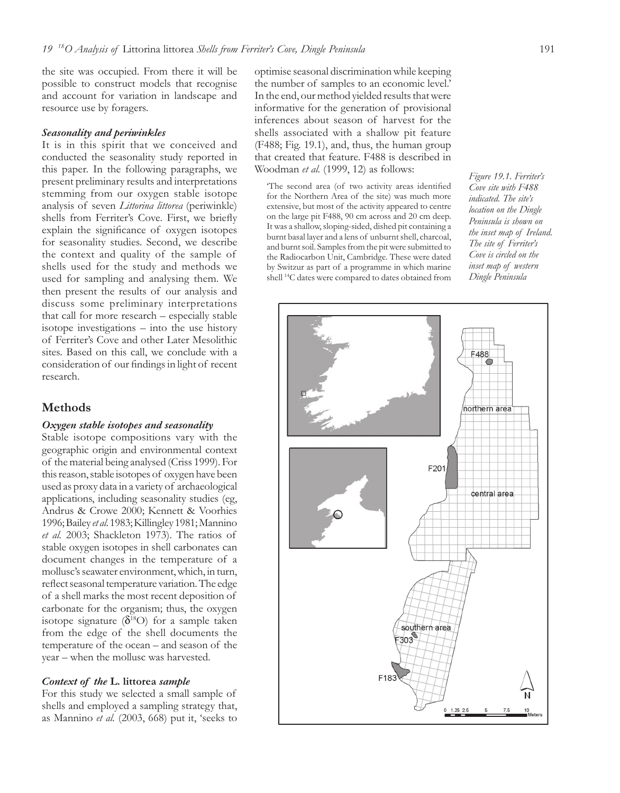the site was occupied. From there it will be possible to construct models that recognise and account for variation in landscape and resource use by foragers.

#### *Seasonality and periwinkles*

It is in this spirit that we conceived and conducted the seasonality study reported in this paper. In the following paragraphs, we present preliminary results and interpretations stemming from our oxygen stable isotope analysis of seven *Littorina littorea* (periwinkle) shells from Ferriter's Cove. First, we briefly explain the significance of oxygen isotopes for seasonality studies. Second, we describe the context and quality of the sample of shells used for the study and methods we used for sampling and analysing them. We then present the results of our analysis and discuss some preliminary interpretations that call for more research – especially stable isotope investigations – into the use history of Ferriter's Cove and other Later Mesolithic sites. Based on this call, we conclude with a consideration of our findings in light of recent research.

## **Methods**

#### *Oxygen stable isotopes and seasonality*

Stable isotope compositions vary with the geographic origin and environmental context of the material being analysed (Criss 1999). For this reason, stable isotopes of oxygen have been used as proxy data in a variety of archaeological applications, including seasonality studies (eg, Andrus & Crowe 2000; Kennett & Voorhies 1996; Bailey *et al*. 1983; Killingley 1981; Mannino *et al.* 2003; Shackleton 1973). The ratios of stable oxygen isotopes in shell carbonates can document changes in the temperature of a mollusc's seawater environment, which, in turn, reflect seasonal temperature variation. The edge of a shell marks the most recent deposition of carbonate for the organism; thus, the oxygen isotope signature ( $\delta^{18}O$ ) for a sample taken from the edge of the shell documents the temperature of the ocean – and season of the year – when the mollusc was harvested.

#### *Context of the* **L. littorea** *sample*

For this study we selected a small sample of shells and employed a sampling strategy that, as Mannino *et al.* (2003, 668) put it, 'seeks to

optimise seasonal discrimination while keeping the number of samples to an economic level.' In the end, our method yielded results that were informative for the generation of provisional inferences about season of harvest for the shells associated with a shallow pit feature (F488; Fig. 19.1), and, thus, the human group that created that feature. F488 is described in Woodman *et al.* (1999, 12) as follows:

'The second area (of two activity areas identified for the Northern Area of the site) was much more extensive, but most of the activity appeared to centre on the large pit F488, 90 cm across and 20 cm deep. It was a shallow, sloping-sided, dished pit containing a burnt basal layer and a lens of unburnt shell, charcoal, and burnt soil. Samples from the pit were submitted to the Radiocarbon Unit, Cambridge. These were dated by Switzur as part of a programme in which marine shell 14C dates were compared to dates obtained from *Figure 19.1. Ferriter's Cove site with F488 indicated. The site's location on the Dingle Peninsula is shown on the inset map of Ireland. The site of Ferriter's Cove is circled on the inset map of western Dingle Peninsula*

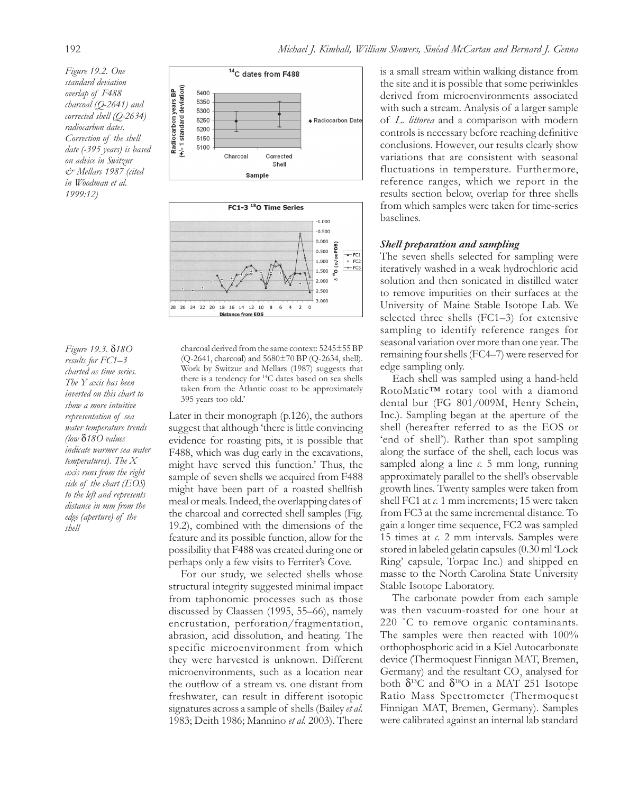*Figure 19.2. One standard deviation overlap of F488 charcoal (Q-2641) and corrected shell (Q-2634) radiocarbon dates. Correction of the shell date (-395 years) is based on advice in Switzur & Mellars 1987 (cited in Woodman et al. 1999:12)*



*Figure 19.3.* δ*18O results for FC1–3 charted as time series. The Y axis has been inverted on this chart to show a more intuitive representation of sea water temperature trends (low* δ*18O values indicate warmer sea water temperatures). The X axis runs from the right side of the chart (EOS) to the left and represents distance in mm from the edge (aperture) of the shell*

charcoal derived from the same context: 5245±55 BP (Q-2641, charcoal) and 5680±70 BP (Q-2634, shell). Work by Switzur and Mellars (1987) suggests that there is a tendency for 14C dates based on sea shells taken from the Atlantic coast to be approximately 395 years too old.'

Later in their monograph (p.126), the authors suggest that although 'there is little convincing evidence for roasting pits, it is possible that F488, which was dug early in the excavations, might have served this function.' Thus, the sample of seven shells we acquired from F488 might have been part of a roasted shellfish meal or meals. Indeed, the overlapping dates of the charcoal and corrected shell samples (Fig. 19.2), combined with the dimensions of the feature and its possible function, allow for the possibility that F488 was created during one or perhaps only a few visits to Ferriter's Cove.

For our study, we selected shells whose structural integrity suggested minimal impact from taphonomic processes such as those discussed by Claassen (1995, 55–66), namely encrustation, perforation/fragmentation, abrasion, acid dissolution, and heating. The specific microenvironment from which they were harvested is unknown. Different microenvironments, such as a location near the outflow of a stream vs. one distant from freshwater, can result in different isotopic signatures across a sample of shells (Bailey *et al.* 1983; Deith 1986; Mannino *et al.* 2003). There

is a small stream within walking distance from the site and it is possible that some periwinkles derived from microenvironments associated with such a stream. Analysis of a larger sample of *L. littorea* and a comparison with modern controls is necessary before reaching definitive conclusions. However, our results clearly show variations that are consistent with seasonal fluctuations in temperature. Furthermore, reference ranges, which we report in the results section below, overlap for three shells from which samples were taken for time-series baselines.

#### *Shell preparation and sampling*

The seven shells selected for sampling were iteratively washed in a weak hydrochloric acid solution and then sonicated in distilled water to remove impurities on their surfaces at the University of Maine Stable Isotope Lab. We selected three shells (FC1–3) for extensive sampling to identify reference ranges for seasonal variation over more than one year. The remaining four shells (FC4–7) were reserved for edge sampling only.

Each shell was sampled using a hand-held RotoMatic™ rotary tool with a diamond dental bur (FG 801/009M, Henry Schein, Inc.). Sampling began at the aperture of the shell (hereafter referred to as the EOS or 'end of shell'). Rather than spot sampling along the surface of the shell, each locus was sampled along a line *c.* 5 mm long, running approximately parallel to the shell's observable growth lines. Twenty samples were taken from shell FC1 at *c.* 1 mm increments; 15 were taken from FC3 at the same incremental distance. To gain a longer time sequence, FC2 was sampled 15 times at *c.* 2 mm intervals. Samples were stored in labeled gelatin capsules (0.30 ml 'Lock Ring' capsule, Torpac Inc.) and shipped en masse to the North Carolina State University Stable Isotope Laboratory.

The carbonate powder from each sample was then vacuum-roasted for one hour at 220 °C to remove organic contaminants. The samples were then reacted with  $100\%$ orthophosphoric acid in a Kiel Autocarbonate device (Thermoquest Finnigan MAT, Bremen, Germany) and the resultant  $CO<sub>2</sub>$  analysed for both  $\delta^{13}$ C and  $\delta^{18}$ O in a MAT 251 Isotope Ratio Mass Spectrometer (Thermoquest Finnigan MAT, Bremen, Germany). Samples were calibrated against an internal lab standard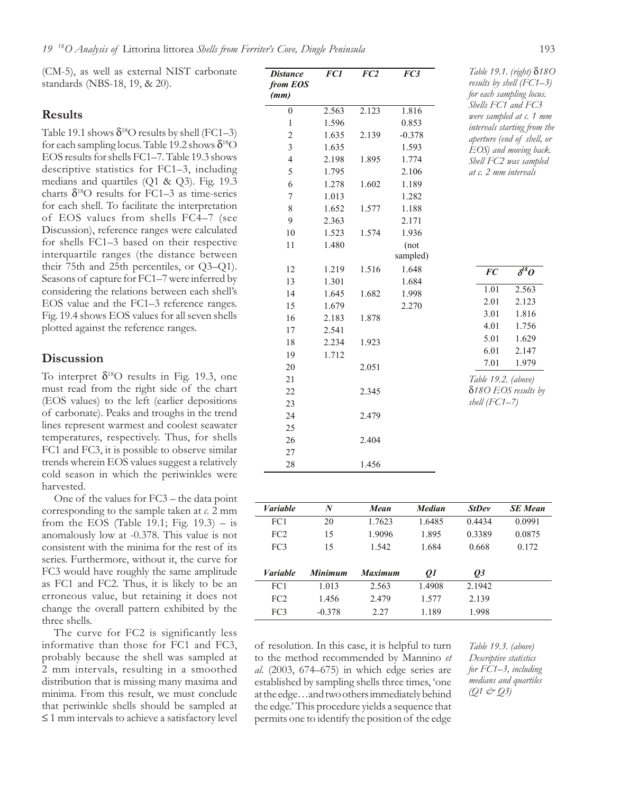(CM-5), as well as external NIST carbonate standards (NBS-18, 19, & 20).

#### **Results**

Table 19.1 shows  $\delta^{18}$ O results by shell (FC1–3) for each sampling locus. Table 19.2 shows  $\delta^{18}O$ EOS results for shells FC1–7. Table 19.3 shows descriptive statistics for FC1–3, including medians and quartiles (Q1 & Q3). Fig. 19.3 charts  $\delta^{18}$ O results for FC1–3 as time-series for each shell. To facilitate the interpretation of EOS values from shells FC4–7 (see Discussion), reference ranges were calculated for shells FC1–3 based on their respective interquartile ranges (the distance between their 75th and 25th percentiles, or Q3–Q1). Seasons of capture for FC1–7 were inferred by considering the relations between each shell's EOS value and the FC1–3 reference ranges. Fig. 19.4 shows EOS values for all seven shells plotted against the reference ranges.

## **Discussion**

To interpret  $\delta^{18}$ O results in Fig. 19.3, one must read from the right side of the chart (EOS values) to the left (earlier depositions of carbonate). Peaks and troughs in the trend lines represent warmest and coolest seawater temperatures, respectively. Thus, for shells FC1 and FC3, it is possible to observe similar trends wherein EOS values suggest a relatively cold season in which the periwinkles were harvested.

One of the values for FC3 – the data point corresponding to the sample taken at *c.* 2 mm from the EOS (Table 19.1; Fig.  $19.3$ ) – is anomalously low at -0.378. This value is not consistent with the minima for the rest of its series. Furthermore, without it, the curve for FC3 would have roughly the same amplitude as FC1 and FC2. Thus, it is likely to be an erroneous value, but retaining it does not change the overall pattern exhibited by the three shells.

The curve for FC2 is significantly less informative than those for FC1 and FC3, probably because the shell was sampled at 2 mm intervals, resulting in a smoothed distribution that is missing many maxima and minima. From this result, we must conclude that periwinkle shells should be sampled at ≤ 1 mm intervals to achieve a satisfactory level

| <b>Distance</b><br>from EOS<br>(mm) | FC1   | FC <sub>2</sub> | FC3              | Table 19.1. (right) 8180<br>results by shell (FC1–3)<br>for each sampling locus. |
|-------------------------------------|-------|-----------------|------------------|----------------------------------------------------------------------------------|
| $\overline{0}$                      | 2.563 | 2.123           | 1.816            | Shells FC1 and FC3                                                               |
| $\mathbf{1}$                        | 1.596 |                 | 0.853            | were sampled at c. 1 mm<br>intervals starting from the                           |
| $\overline{c}$                      | 1.635 | 2.139           | $-0.378$         | aperture (end of shell, or                                                       |
| 3                                   | 1.635 |                 | 1.593            | EOS) and moving back.                                                            |
| 4                                   | 2.198 | 1.895           | 1.774            | Shell FC2 was sampled                                                            |
| 5                                   | 1.795 |                 | 2.106            | at c. 2 mm intervals                                                             |
| 6                                   | 1.278 | 1.602           | 1.189            |                                                                                  |
| 7                                   | 1.013 |                 | 1.282            |                                                                                  |
| 8                                   | 1.652 | 1.577           | 1.188            |                                                                                  |
| 9                                   | 2.363 |                 | 2.171            |                                                                                  |
| 10                                  | 1.523 | 1.574           | 1.936            |                                                                                  |
| 11                                  | 1.480 |                 | (not<br>sampled) |                                                                                  |
| 12                                  | 1.219 | 1.516           | 1.648            | $\overline{\delta^{\scriptscriptstyle l}}^{\scriptscriptstyle S}O$<br><b>FC</b>  |
| 13                                  | 1.301 |                 | 1.684            |                                                                                  |
| 14                                  | 1.645 | 1.682           | 1.998            | 1.01<br>2.563                                                                    |
| 15                                  | 1.679 |                 | 2.270            | 2.01<br>2.123                                                                    |
| 16                                  | 2.183 | 1.878           |                  | 3.01<br>1.816                                                                    |
| 17                                  | 2.541 |                 |                  | 4.01<br>1.756                                                                    |
| 18                                  | 2.234 | 1.923           |                  | 5.01<br>1.629                                                                    |
| 19                                  | 1.712 |                 |                  | 6.01<br>2.147                                                                    |
| 20                                  |       | 2.051           |                  | 7.01<br>1.979                                                                    |
| 21                                  |       |                 |                  | Table 19.2. (above)                                                              |
| 22                                  |       | 2.345           |                  | δ180 EOS results by                                                              |
| 23                                  |       |                 |                  | $shell (FC1-7)$                                                                  |
| 24                                  |       | 2.479           |                  |                                                                                  |
| 25                                  |       |                 |                  |                                                                                  |
| 26                                  |       | 2.404           |                  |                                                                                  |
| 27                                  |       |                 |                  |                                                                                  |
| 28                                  |       | 1.456           |                  |                                                                                  |

| <b>Variable</b> | N        | Mean           | <b>Median</b> | <b>StDev</b> | <b>SE</b> Mean |
|-----------------|----------|----------------|---------------|--------------|----------------|
| FC1             | 20       | 1.7623         | 1.6485        | 0.4434       | 0.0991         |
| FC <sub>2</sub> | 15       | 1.9096         | 1.895         | 0.3389       | 0.0875         |
| FC <sub>3</sub> | 15       | 1.542          | 1.684         | 0.668        | 0.172          |
|                 |          |                |               |              |                |
| <b>Variable</b> | Minimum  | <b>Maximum</b> | 01            | 03           |                |
| FC1             | 1.013    | 2.563          | 1.4908        | 2.1942       |                |
| FC2             | 1.456    | 2.479          | 1.577         | 2.139        |                |
| FC <sub>3</sub> | $-0.378$ | 2.27           | 1.189         | 1.998        |                |

of resolution. In this case, it is helpful to turn to the method recommended by Mannino *et al.* (2003, 674–675) in which edge series are established by sampling shells three times, 'one at the edge…and two others immediately behind the edge.' This procedure yields a sequence that permits one to identify the position of the edge

*Table 19.3. (above) Descriptive statistics for FC1–3, including medians and quartiles (Q1 & Q3)*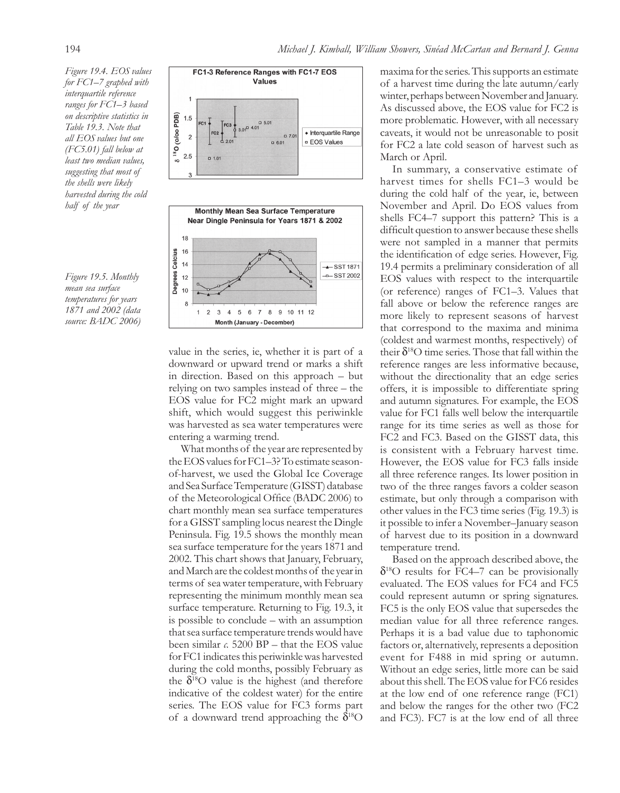*Figure 19.4. EOS values for FC1–7 graphed with interquartile reference ranges for FC1–3 based on descriptive statistics in Table 19.3. Note that all EOS values but one (FC5.01) fall below at least two median values, suggesting that most of the shells were likely harvested during the cold half of the year*

*Figure 19.5. Monthly mean sea surface temperatures for years 1871 and 2002 (data source: BADC 2006)*



value in the series, ie, whether it is part of a downward or upward trend or marks a shift in direction. Based on this approach – but relying on two samples instead of three – the EOS value for FC2 might mark an upward shift, which would suggest this periwinkle was harvested as sea water temperatures were entering a warming trend.

What months of the year are represented by the EOS values for FC1–3? To estimate seasonof-harvest, we used the Global Ice Coverage and Sea Surface Temperature (GISST) database of the Meteorological Office (BADC 2006) to chart monthly mean sea surface temperatures for a GISST sampling locus nearest the Dingle Peninsula. Fig. 19.5 shows the monthly mean sea surface temperature for the years 1871 and 2002. This chart shows that January, February, and March are the coldest months of the year in terms of sea water temperature, with February representing the minimum monthly mean sea surface temperature. Returning to Fig. 19.3, it is possible to conclude – with an assumption that sea surface temperature trends would have been similar *c.* 5200 BP – that the EOS value for FC1 indicates this periwinkle was harvested during the cold months, possibly February as the  $\delta^{18}$ O value is the highest (and therefore indicative of the coldest water) for the entire series. The EOS value for FC3 forms part of a downward trend approaching the  $\delta^{18}O$ 

maxima for the series. This supports an estimate of a harvest time during the late autumn/early winter, perhaps between November and January. As discussed above, the EOS value for FC2 is more problematic. However, with all necessary caveats, it would not be unreasonable to posit for FC2 a late cold season of harvest such as March or April.

In summary, a conservative estimate of harvest times for shells FC1–3 would be during the cold half of the year, ie, between November and April. Do EOS values from shells FC4–7 support this pattern? This is a difficult question to answer because these shells were not sampled in a manner that permits the identification of edge series. However, Fig. 19.4 permits a preliminary consideration of all EOS values with respect to the interquartile (or reference) ranges of FC1–3. Values that fall above or below the reference ranges are more likely to represent seasons of harvest that correspond to the maxima and minima (coldest and warmest months, respectively) of their  $\delta^{18}$ O time series. Those that fall within the reference ranges are less informative because, without the directionality that an edge series offers, it is impossible to differentiate spring and autumn signatures. For example, the EOS value for FC1 falls well below the interquartile range for its time series as well as those for FC2 and FC3. Based on the GISST data, this is consistent with a February harvest time. However, the EOS value for FC3 falls inside all three reference ranges. Its lower position in two of the three ranges favors a colder season estimate, but only through a comparison with other values in the FC3 time series (Fig. 19.3) is it possible to infer a November–January season of harvest due to its position in a downward temperature trend.

Based on the approach described above, the  $\delta^{18}$ O results for FC4–7 can be provisionally evaluated. The EOS values for FC4 and FC5 could represent autumn or spring signatures. FC5 is the only EOS value that supersedes the median value for all three reference ranges. Perhaps it is a bad value due to taphonomic factors or, alternatively, represents a deposition event for F488 in mid spring or autumn. Without an edge series, little more can be said about this shell. The EOS value for FC6 resides at the low end of one reference range (FC1) and below the ranges for the other two (FC2 and FC3). FC7 is at the low end of all three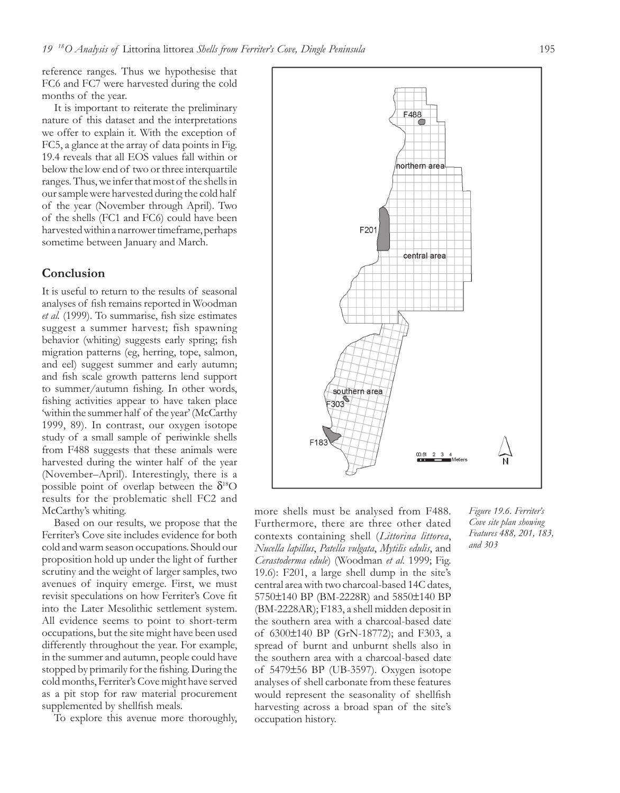reference ranges. Thus we hypothesise that FC6 and FC7 were harvested during the cold months of the year.

It is important to reiterate the preliminary nature of this dataset and the interpretations we offer to explain it. With the exception of FC5, a glance at the array of data points in Fig. 19.4 reveals that all EOS values fall within or below the low end of two or three interquartile ranges. Thus, we infer that most of the shells in our sample were harvested during the cold half of the year (November through April). Two of the shells (FC1 and FC6) could have been harvested within a narrower timeframe, perhaps sometime between January and March.

## **Conclusion**

It is useful to return to the results of seasonal analyses of fish remains reported in Woodman *et al.* (1999). To summarise, fish size estimates suggest a summer harvest; fish spawning behavior (whiting) suggests early spring; fish migration patterns (eg, herring, tope, salmon, and eel) suggest summer and early autumn; and fish scale growth patterns lend support to summer/autumn fishing. In other words, fishing activities appear to have taken place 'within the summer half of the year' (McCarthy 1999, 89). In contrast, our oxygen isotope study of a small sample of periwinkle shells from F488 suggests that these animals were harvested during the winter half of the year (November–April). Interestingly, there is a possible point of overlap between the  $\delta^{18}$ O results for the problematic shell FC2 and McCarthy's whiting.

Based on our results, we propose that the Ferriter's Cove site includes evidence for both cold and warm season occupations. Should our proposition hold up under the light of further scrutiny and the weight of larger samples, two avenues of inquiry emerge. First, we must revisit speculations on how Ferriter's Cove fit into the Later Mesolithic settlement system. All evidence seems to point to short-term occupations, but the site might have been used differently throughout the year. For example, in the summer and autumn, people could have stopped by primarily for the fishing. During the cold months, Ferriter's Cove might have served as a pit stop for raw material procurement supplemented by shellfish meals.

To explore this avenue more thoroughly,

more shells must be analysed from F488. Furthermore, there are three other dated contexts containing shell (*Littorina littorea*, *Nucella lapillus*, *Patella vulgata*, *Mytilis edulis*, and *Cerastoderma edule*) (Woodman *et al.* 1999; Fig. 19.6): F201, a large shell dump in the site's central area with two charcoal-based 14C dates, 5750±140 BP (BM-2228R) and 5850±140 BP (BM-2228AR); F183, a shell midden deposit in the southern area with a charcoal-based date of 6300±140 BP (GrN-18772); and F303, a spread of burnt and unburnt shells also in the southern area with a charcoal-based date of 5479±56 BP (UB-3597). Oxygen isotope analyses of shell carbonate from these features would represent the seasonality of shellfish harvesting across a broad span of the site's occupation history.

*Figure 19.6. Ferriter's Cove site plan showing Features 488, 201, 183, and 303*

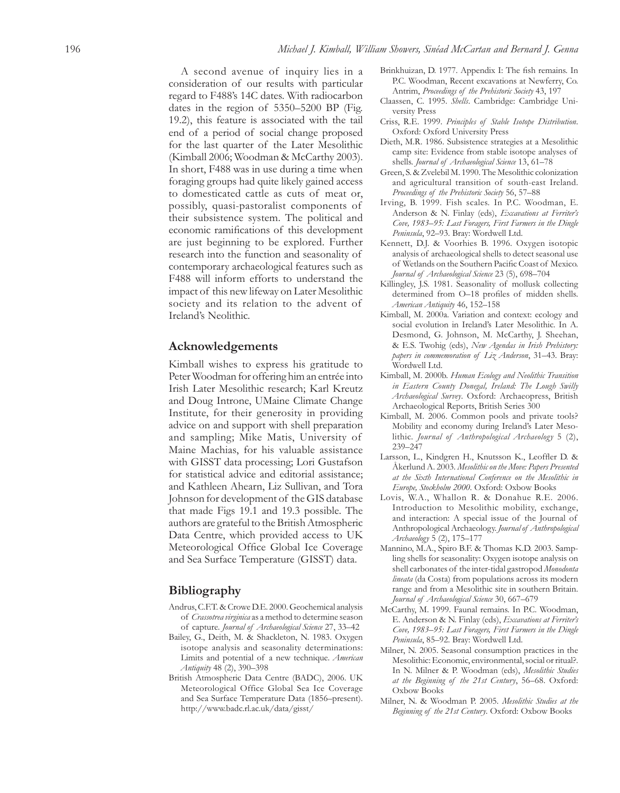A second avenue of inquiry lies in a consideration of our results with particular regard to F488's 14C dates. With radiocarbon dates in the region of 5350–5200 BP (Fig. 19.2), this feature is associated with the tail end of a period of social change proposed for the last quarter of the Later Mesolithic (Kimball 2006; Woodman & McCarthy 2003). In short, F488 was in use during a time when foraging groups had quite likely gained access to domesticated cattle as cuts of meat or, possibly, quasi-pastoralist components of their subsistence system. The political and economic ramifications of this development are just beginning to be explored. Further research into the function and seasonality of contemporary archaeological features such as F488 will inform efforts to understand the impact of this new lifeway on Later Mesolithic society and its relation to the advent of Ireland's Neolithic.

### **Acknowledgements**

Kimball wishes to express his gratitude to Peter Woodman for offering him an entrée into Irish Later Mesolithic research; Karl Kreutz and Doug Introne, UMaine Climate Change Institute, for their generosity in providing advice on and support with shell preparation and sampling; Mike Matis, University of Maine Machias, for his valuable assistance with GISST data processing; Lori Gustafson for statistical advice and editorial assistance; and Kathleen Ahearn, Liz Sullivan, and Tora Johnson for development of the GIS database that made Figs 19.1 and 19.3 possible. The authors are grateful to the British Atmospheric Data Centre, which provided access to UK Meteorological Office Global Ice Coverage and Sea Surface Temperature (GISST) data.

## **Bibliography**

- Andrus, C.F.T. & Crowe D.E. 2000. Geochemical analysis of *Crassotrea virginica* as a method to determine season of capture. *Journal of Archaeological Science* 27, 33–42
- Bailey, G., Deith, M. & Shackleton, N. 1983. Oxygen isotope analysis and seasonality determinations: Limits and potential of a new technique. *American Antiquity* 48 (2), 390–398
- British Atmospheric Data Centre (BADC), 2006. UK Meteorological Office Global Sea Ice Coverage and Sea Surface Temperature Data (1856–present). http://www.badc.rl.ac.uk/data/gisst/
- Brinkhuizan, D. 1977. Appendix I: The fish remains. In P.C. Woodman, Recent excavations at Newferry, Co. Antrim, *Proceedings of the Prehistoric Society* 43, 197
- Claassen, C. 1995. *Shells*. Cambridge: Cambridge University Press
- Criss, R.E. 1999. *Principles of Stable Isotope Distribution*. Oxford: Oxford University Press
- Dieth, M.R. 1986. Subsistence strategies at a Mesolithic camp site: Evidence from stable isotope analyses of shells. *Journal of Archaeological Science* 13, 61–78
- Green, S. & Zvelebil M. 1990. The Mesolithic colonization and agricultural transition of south-east Ireland. *Proceedings of the Prehistoric Society* 56, 57–88
- Irving, B. 1999. Fish scales. In P.C. Woodman, E. Anderson & N. Finlay (eds), *Excavations at Ferriter's Cove, 1983–95: Last Foragers, First Farmers in the Dingle Peninsula*, 92–93. Bray: Wordwell Ltd.
- Kennett, D.J. & Voorhies B. 1996. Oxygen isotopic analysis of archaeological shells to detect seasonal use of Wetlands on the Southern Pacific Coast of Mexico. *Journal of Archaeological Science* 23 (5), 698–704
- Killingley, J.S. 1981. Seasonality of mollusk collecting determined from O-18 profiles of midden shells. *American Antiquity* 46, 152–158
- Kimball, M. 2000a. Variation and context: ecology and social evolution in Ireland's Later Mesolithic. In A. Desmond, G. Johnson, M. McCarthy, J. Sheehan, & E.S. Twohig (eds), *New Agendas in Irish Prehistory: papers in commemoration of Liz Anderson*, 31–43. Bray: Wordwell Ltd.
- Kimball, M. 2000b. *Human Ecology and Neolithic Transition in Eastern County Donegal, Ireland: The Lough Swilly Archaeological Survey*. Oxford: Archaeopress, British Archaeological Reports, British Series 300
- Kimball, M. 2006. Common pools and private tools? Mobility and economy during Ireland's Later Mesolithic. *Journal of Anthropological Archaeology* 5 (2), 239–247
- Larsson, L., Kindgren H., Knutsson K., Leoffler D. & Åkerlund A. 2003. *Mesolithic on the Move: Papers Presented at the Sixth International Conference on the Mesolithic in Europe, Stockholm 2000*. Oxford: Oxbow Books
- Lovis, W.A., Whallon R. & Donahue R.E. 2006. Introduction to Mesolithic mobility, exchange, and interaction: A special issue of the Journal of Anthropological Archaeology. *Journal of Anthropological Archaeology* 5 (2), 175–177
- Mannino, M.A., Spiro B.F. & Thomas K.D. 2003. Sampling shells for seasonality: Oxygen isotope analysis on shell carbonates of the inter-tidal gastropod *Monodonta lineata* (da Costa) from populations across its modern range and from a Mesolithic site in southern Britain. *Journal of Archaeological Science* 30, 667–679
- McCarthy, M. 1999. Faunal remains. In P.C. Woodman, E. Anderson & N. Finlay (eds), *Excavations at Ferriter's Cove, 1983–95: Last Foragers, First Farmers in the Dingle Peninsula*, 85–92. Bray: Wordwell Ltd.
- Milner, N. 2005. Seasonal consumption practices in the Mesolithic: Economic, environmental, social or ritual?. In N. Milner & P. Woodman (eds), *Mesolithic Studies at the Beginning of the 21st Century*, 56–68. Oxford: Oxbow Books
- Milner, N. & Woodman P. 2005. *Mesolithic Studies at the Beginning of the 21st Century*. Oxford: Oxbow Books